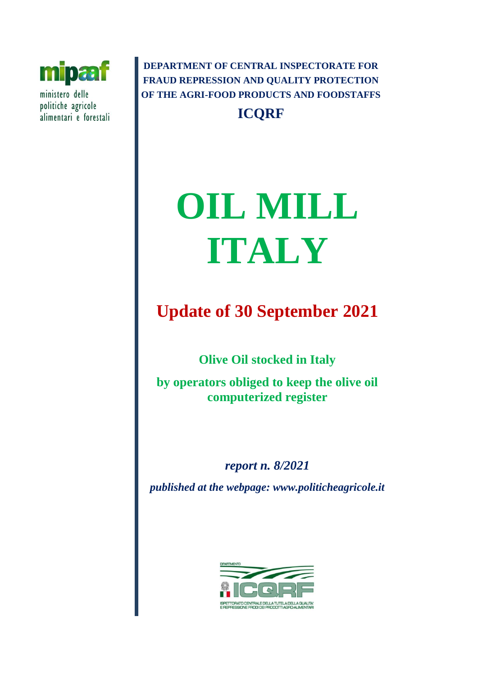

ministero delle politiche agricole alimentari e forestali

**DEPARTMENT OF CENTRAL INSPECTORATE FOR FRAUD REPRESSION AND QUALITY PROTECTION OF THE AGRI-FOOD PRODUCTS AND FOODSTAFFS ICQRF**

# **OIL MILL ITALY**

# **Update of 30 September 2021**

**Olive Oil stocked in Italy** 

**by operators obliged to keep the olive oil computerized register** 

*report n. 8/2021 published at the webpage: www.politicheagricole.it*

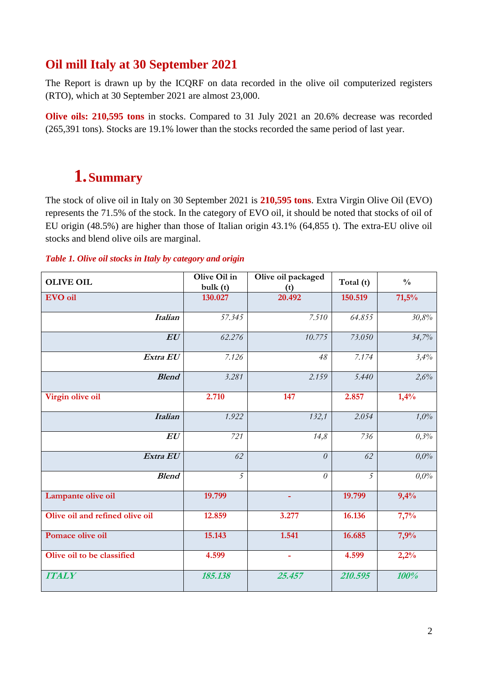## **Oil mill Italy at 30 September 2021**

The Report is drawn up by the ICQRF on data recorded in the olive oil computerized registers (RTO), which at 30 September 2021 are almost 23,000.

**Olive oils: 210,595 tons** in stocks. Compared to 31 July 2021 an 20.6% decrease was recorded (265,391 tons). Stocks are 19.1% lower than the stocks recorded the same period of last year.

## **1.Summary**

The stock of olive oil in Italy on 30 September 2021 is **210,595 tons**. Extra Virgin Olive Oil (EVO) represents the 71.5% of the stock. In the category of EVO oil, it should be noted that stocks of oil of EU origin (48.5%) are higher than those of Italian origin 43.1% (64,855 t). The extra-EU olive oil stocks and blend olive oils are marginal.

#### *Table 1. Olive oil stocks in Italy by category and origin*

| <b>OLIVE OIL</b>                | Olive Oil in<br>bulk(t) | Olive oil packaged<br>(t) | Total (t)      | $\frac{0}{0}$ |
|---------------------------------|-------------------------|---------------------------|----------------|---------------|
| <b>EVO</b> oil                  | 130.027                 | 20.492                    | 150.519        | 71,5%         |
| <b>Italian</b>                  | 57.345                  | 7.510                     | 64.855         | $30{,}8\%$    |
| EU                              | 62.276                  | 10.775                    | 73.050         | 34,7%         |
| Extra EU                        | 7.126                   | 48                        | 7.174          | 3,4%          |
| <b>Blend</b>                    | 3.281                   | 2.159                     | 5.440          | 2,6%          |
| Virgin olive oil                | 2.710                   | 147                       | 2.857          | 1,4%          |
| <b>Italian</b>                  | 1.922                   | 132,1                     | 2.054          | 1,0%          |
| EU                              | 721                     | 14,8                      | 736            | 0,3%          |
| Extra EU                        | 62                      | $\theta$                  | 62             | 0.0%          |
| <b>Blend</b>                    | 5                       | $\theta$                  | $\overline{5}$ | 0,0%          |
| Lampante olive oil              | 19.799                  | ÷                         | 19.799         | 9,4%          |
| Olive oil and refined olive oil | 12.859                  | 3.277                     | 16.136         | 7,7%          |
| Pomace olive oil                | 15.143                  | 1.541                     | 16.685         | 7,9%          |
| Olive oil to be classified      | 4.599                   | ÷                         | 4.599          | 2,2%          |
| <b>ITALY</b>                    | 185.138                 | 25.457                    | 210.595        | 100%          |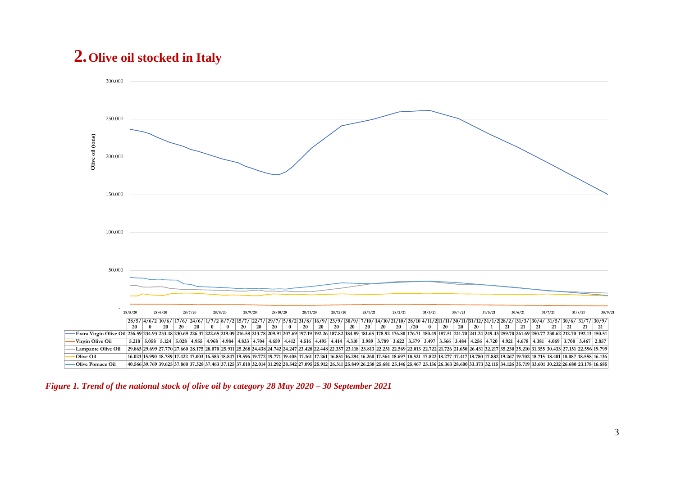## **2.Olive oil stocked in Italy**



*Figure 1. Trend of the national stock of olive oil by category 28 May 2020 – 30 September 2021*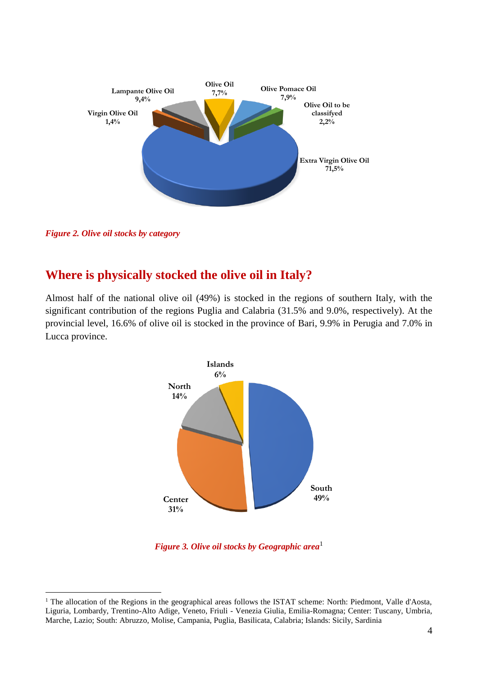

*Figure 2. Olive oil stocks by category*

1

### **Where is physically stocked the olive oil in Italy?**

Almost half of the national olive oil (49%) is stocked in the regions of southern Italy, with the significant contribution of the regions Puglia and Calabria (31.5% and 9.0%, respectively). At the provincial level, 16.6% of olive oil is stocked in the province of Bari, 9.9% in Perugia and 7.0% in Lucca province.



*Figure 3. Olive oil stocks by Geographic area*<sup>1</sup>

<sup>&</sup>lt;sup>1</sup> The allocation of the Regions in the geographical areas follows the ISTAT scheme: North: Piedmont, Valle d'Aosta, Liguria, Lombardy, Trentino-Alto Adige, Veneto, Friuli - Venezia Giulia, Emilia-Romagna; Center: Tuscany, Umbria, Marche, Lazio; South: Abruzzo, Molise, Campania, Puglia, Basilicata, Calabria; Islands: Sicily, Sardinia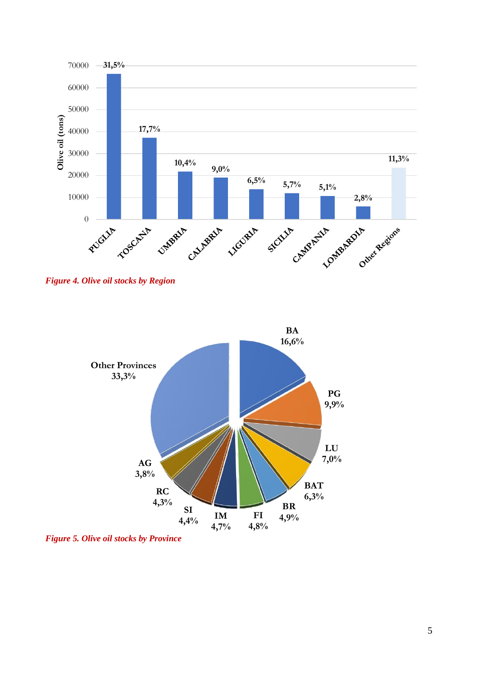

*Figure 4. Olive oil stocks by Region*



*Figure 5. Olive oil stocks by Province*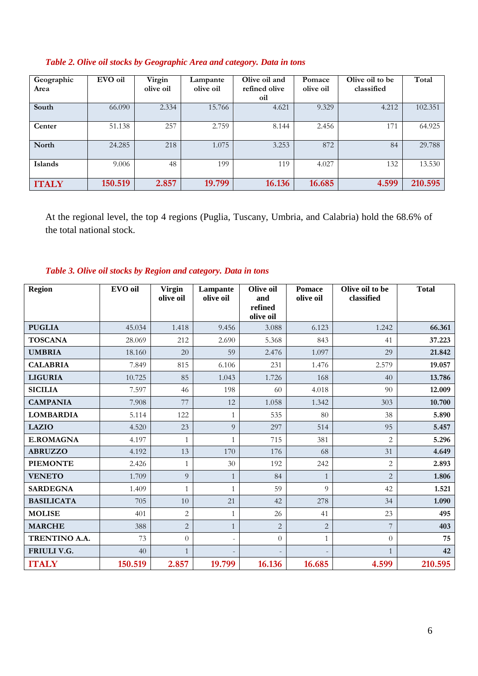| Geographic<br>Area | EVO oil | Virgin<br>olive oil | Lampante<br>olive oil | Olive oil and<br>refined olive<br>oil | Pomace<br>olive oil | Olive oil to be<br>classified | Total   |
|--------------------|---------|---------------------|-----------------------|---------------------------------------|---------------------|-------------------------------|---------|
| South              | 66.090  | 2.334               | 15.766                | 4.621                                 | 9.329               | 4.212                         | 102.351 |
| Center             | 51.138  | 257                 | 2.759                 | 8.144                                 | 2.456               | 171                           | 64.925  |
| North              | 24.285  | 218                 | 1.075                 | 3.253                                 | 872                 | 84                            | 29.788  |
| Islands            | 9.006   | 48                  | 199                   | 119                                   | 4.027               | 132                           | 13.530  |
| <b>ITALY</b>       | 150.519 | 2.857               | 19.799                | 16.136                                | 16.685              | 4.599                         | 210.595 |

#### *Table 2. Olive oil stocks by Geographic Area and category. Data in tons*

At the regional level, the top 4 regions (Puglia, Tuscany, Umbria, and Calabria) hold the 68.6% of the total national stock.

#### *Table 3. Olive oil stocks by Region and category. Data in tons*

| <b>Region</b>     | EVO oil | <b>Virgin</b><br>olive oil | Lampante<br>olive oil    | Olive oil<br>and | <b>Pomace</b><br>olive oil | Olive oil to be<br>classified | <b>Total</b> |
|-------------------|---------|----------------------------|--------------------------|------------------|----------------------------|-------------------------------|--------------|
|                   |         |                            |                          | refined          |                            |                               |              |
|                   |         |                            |                          | olive oil        |                            |                               |              |
| <b>PUGLIA</b>     | 45.034  | 1.418                      | 9.456                    | 3.088            | 6.123                      | 1.242                         | 66.361       |
| <b>TOSCANA</b>    | 28.069  | 212                        | 2.690                    | 5.368            | 843                        | 41                            | 37.223       |
| <b>UMBRIA</b>     | 18.160  | 20                         | 59                       | 2.476            | 1.097                      | 29                            | 21.842       |
| <b>CALABRIA</b>   | 7.849   | 815                        | 6.106                    | 231              | 1.476                      | 2.579                         | 19.057       |
| <b>LIGURIA</b>    | 10.725  | 85                         | 1.043                    | 1.726            | 168                        | 40                            | 13.786       |
| <b>SICILIA</b>    | 7.597   | 46                         | 198                      | 60               | 4.018                      | 90                            | 12.009       |
| <b>CAMPANIA</b>   | 7.908   | 77                         | 12                       | 1.058            | 1.342                      | 303                           | 10.700       |
| <b>LOMBARDIA</b>  | 5.114   | 122                        | $\mathbf{1}$             | 535              | 80                         | 38                            | 5.890        |
| <b>LAZIO</b>      | 4.520   | 23                         | 9                        | 297              | 514                        | 95                            | 5.457        |
| <b>E.ROMAGNA</b>  | 4.197   | $\mathbf{1}$               | $\mathbf{1}$             | 715              | 381                        | $\overline{2}$                | 5.296        |
| <b>ABRUZZO</b>    | 4.192   | 13                         | 170                      | 176              | 68                         | 31                            | 4.649        |
| <b>PIEMONTE</b>   | 2.426   | $\mathbf{1}$               | 30                       | 192              | 242                        | $\overline{2}$                | 2.893        |
| <b>VENETO</b>     | 1.709   | 9                          | $\mathbf{1}$             | 84               | $\mathbf{1}$               | $\overline{2}$                | 1.806        |
| <b>SARDEGNA</b>   | 1.409   | $\mathbf{1}$               | $\mathbf{1}$             | 59               | $\overline{Q}$             | 42                            | 1.521        |
| <b>BASILICATA</b> | 705     | 10                         | 21                       | 42               | 278                        | 34                            | 1.090        |
| <b>MOLISE</b>     | 401     | $\sqrt{2}$                 | $\mathbf{1}$             | 26               | 41                         | 23                            | 495          |
| <b>MARCHE</b>     | 388     | $\overline{c}$             | $\mathbf{1}$             | $\overline{2}$   | $\overline{2}$             | 7                             | 403          |
| TRENTINO A.A.     | 73      | $\overline{0}$             | $\overline{\phantom{a}}$ | $\theta$         | $\mathbf{1}$               | $\Omega$                      | 75           |
| FRIULI V.G.       | 40      | $\mathbf{1}$               |                          |                  |                            | $\mathbf{1}$                  | 42           |
| <b>ITALY</b>      | 150.519 | 2.857                      | 19.799                   | 16.136           | 16.685                     | 4.599                         | 210.595      |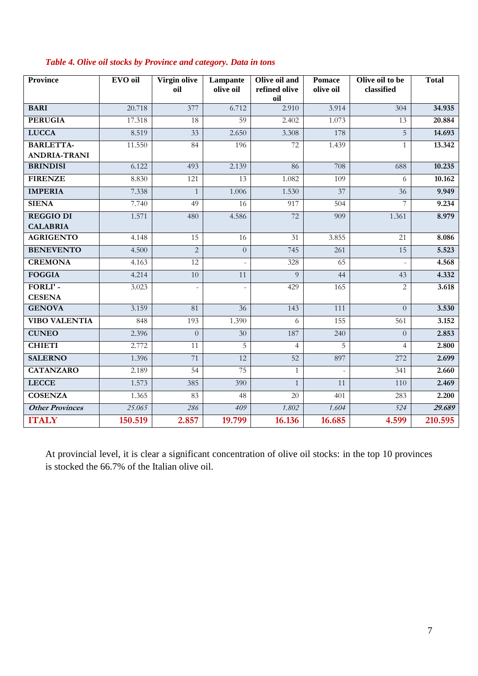| <b>Province</b>                         | <b>EVO</b> oil | Virgin olive<br>oil | Lampante<br>olive oil | Olive oil and<br>refined olive<br>oil | <b>Pomace</b><br>olive oil | Olive oil to be<br>classified | <b>Total</b> |
|-----------------------------------------|----------------|---------------------|-----------------------|---------------------------------------|----------------------------|-------------------------------|--------------|
| <b>BARI</b>                             | 20.718         | 377                 | 6.712                 | 2.910                                 | 3.914                      | 304                           | 34.935       |
| <b>PERUGIA</b>                          | 17.318         | 18                  | 59                    | 2.402                                 | 1.073                      | 13                            | 20.884       |
| <b>LUCCA</b>                            | 8.519          | 33                  | 2.650                 | 3.308                                 | 178                        | 5                             | 14.693       |
| <b>BARLETTA-</b><br><b>ANDRIA-TRANI</b> | 11.550         | 84                  | 196                   | 72                                    | 1.439                      |                               | 13.342       |
| <b>BRINDISI</b>                         | 6.122          | 493                 | 2.139                 | 86                                    | 708                        | 688                           | 10.235       |
| <b>FIRENZE</b>                          | 8.830          | 121                 | 13                    | 1.082                                 | 109                        | 6                             | 10.162       |
| <b>IMPERIA</b>                          | 7.338          | $\mathbf{1}$        | 1.006                 | 1.530                                 | $\overline{37}$            | $\overline{36}$               | 9.949        |
| <b>SIENA</b>                            | 7.740          | 49                  | 16                    | 917                                   | $\overline{504}$           | 7                             | 9.234        |
| <b>REGGIO DI</b><br><b>CALABRIA</b>     | 1.571          | 480                 | 4.586                 | 72                                    | 909                        | 1.361                         | 8.979        |
| <b>AGRIGENTO</b>                        | 4.148          | $\overline{15}$     | 16                    | $\overline{31}$                       | 3.855                      | $\overline{21}$               | 8.086        |
| <b>BENEVENTO</b>                        | 4.500          | $\overline{2}$      | $\overline{0}$        | 745                                   | 261                        | 15                            | 5.523        |
| <b>CREMONA</b>                          | 4.163          | 12                  |                       | 328                                   | 65                         |                               | 4.568        |
| <b>FOGGIA</b>                           | 4.214          | 10                  | $\overline{11}$       | $\overline{Q}$                        | 44                         | 43                            | 4.332        |
| FORLI'-<br><b>CESENA</b>                | 3.023          |                     | ÷,                    | 429                                   | 165                        | 2                             | 3.618        |
| <b>GENOVA</b>                           | 3.159          | 81                  | $\overline{36}$       | 143                                   | 111                        | $\Omega$                      | 3.530        |
| <b>VIBO VALENTIA</b>                    | 848            | 193                 | 1.390                 | 6                                     | 155                        | 561                           | 3.152        |
| <b>CUNEO</b>                            | 2.396          | $\Omega$            | 30                    | 187                                   | 240                        | $\Omega$                      | 2.853        |
| <b>CHIETI</b>                           | 2.772          | $\overline{11}$     | $\overline{5}$        | $\overline{4}$                        | $\overline{5}$             | $\overline{4}$                | 2.800        |
| <b>SALERNO</b>                          | 1.396          | 71                  | $\overline{12}$       | 52                                    | 897                        | 272                           | 2.699        |
| <b>CATANZARO</b>                        | 2.189          | $\overline{54}$     | 75                    | $\mathbf{1}$                          |                            | 341                           | 2.660        |
| <b>LECCE</b>                            | 1.573          | 385                 | 390                   | $\mathbf{1}$                          | 11                         | 110                           | 2.469        |
| <b>COSENZA</b>                          | 1.365          | 83                  | 48                    | 20                                    | 401                        | 283                           | 2.200        |
| <b>Other Provinces</b>                  | 25.065         | 286                 | 409                   | 1.802                                 | 1.604                      | 524                           | 29.689       |
| <b>ITALY</b>                            | 150.519        | 2.857               | 19.799                | 16.136                                | 16.685                     | 4.599                         | 210.595      |

#### *Table 4. Olive oil stocks by Province and category. Data in tons*

At provincial level, it is clear a significant concentration of olive oil stocks: in the top 10 provinces is stocked the 66.7% of the Italian olive oil.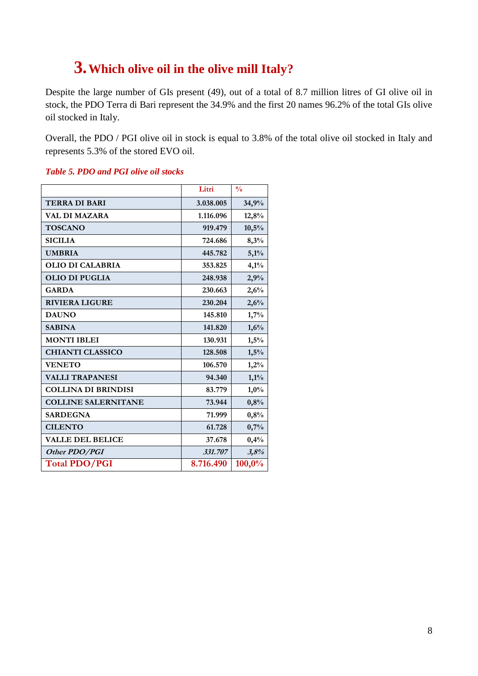## **3.Which olive oil in the olive mill Italy?**

Despite the large number of GIs present (49), out of a total of 8.7 million litres of GI olive oil in stock, the PDO Terra di Bari represent the 34.9% and the first 20 names 96.2% of the total GIs olive oil stocked in Italy.

Overall, the PDO / PGI olive oil in stock is equal to 3.8% of the total olive oil stocked in Italy and represents 5.3% of the stored EVO oil.

|                            | Litri     | $\frac{0}{0}$ |
|----------------------------|-----------|---------------|
| <b>TERRA DI BARI</b>       | 3.038.005 | 34,9%         |
| VAL DI MAZARA              | 1.116.096 | 12,8%         |
| <b>TOSCANO</b>             | 919.479   | 10,5%         |
| <b>SICILIA</b>             | 724.686   | 8,3%          |
| <b>UMBRIA</b>              | 445.782   | 5,1%          |
| <b>OLIO DI CALABRIA</b>    | 353.825   | 4,1%          |
| <b>OLIO DI PUGLIA</b>      | 248.938   | 2,9%          |
| <b>GARDA</b>               | 230.663   | 2,6%          |
| <b>RIVIERA LIGURE</b>      | 230.204   | 2,6%          |
| <b>DAUNO</b>               | 145.810   | 1,7%          |
| <b>SABINA</b>              | 141.820   | 1,6%          |
| <b>MONTI IBLEI</b>         | 130.931   | 1,5%          |
| <b>CHIANTI CLASSICO</b>    | 128.508   | 1,5%          |
| <b>VENETO</b>              | 106.570   | 1,2%          |
| <b>VALLI TRAPANESI</b>     | 94.340    | 1,1%          |
| <b>COLLINA DI BRINDISI</b> | 83.779    | 1,0%          |
| <b>COLLINE SALERNITANE</b> | 73.944    | 0,8%          |
| <b>SARDEGNA</b>            | 71.999    | 0,8%          |
| <b>CILENTO</b>             | 61.728    | 0,7%          |
| <b>VALLE DEL BELICE</b>    | 37.678    | 0,4%          |
| Other PDO/PGI              | 331.707   | 3,8%          |
| <b>Total PDO/PGI</b>       | 8.716.490 | 100,0%        |

#### *Table 5. PDO and PGI olive oil stocks*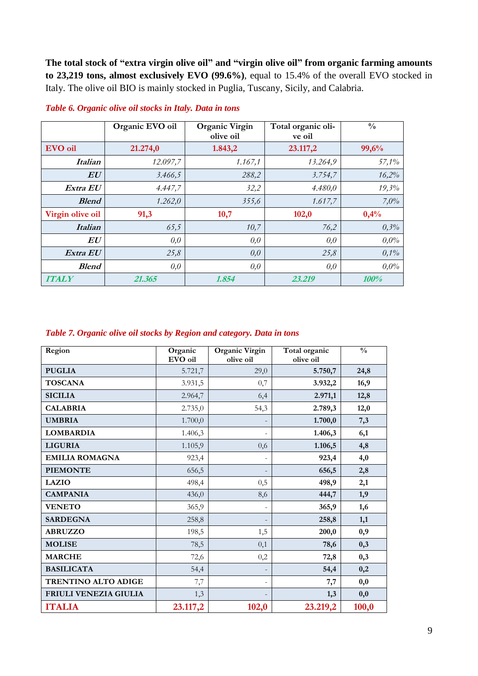**The total stock of "extra virgin olive oil" and "virgin olive oil" from organic farming amounts to 23,219 tons, almost exclusively EVO (99.6%)**, equal to 15.4% of the overall EVO stocked in Italy. The olive oil BIO is mainly stocked in Puglia, Tuscany, Sicily, and Calabria.

|                   | Organic EVO oil | <b>Organic Virgin</b><br>olive oil | Total organic oli-<br>ve oil | $\frac{0}{0}$ |
|-------------------|-----------------|------------------------------------|------------------------------|---------------|
| <b>EVO</b> oil    | 21.274,0        | 1.843,2                            | 23.117,2                     | 99,6%         |
| <i>Italian</i>    | 12.097,7        | 1.167,1                            | 13.264,9                     | 57,1%         |
| $\bm{E}\bm{U}$    | 3.466,5         | 288,2                              | 3.754,7                      | 16,2%         |
| Extra EU          | 4.447,7         | 32,2                               | 4.480,0                      | 19,3%         |
| <b>Blend</b>      | 1.262,0         | 355,6                              | 1.617,7                      | 7,0%          |
| Virgin olive oil  | 91,3            | 10,7                               | 102,0                        | 0,4%          |
| <b>Italian</b>    | 65,5            | 10,7                               | 76,2                         | 0,3%          |
| ${\bm E} {\bm U}$ | 0,0             | 0,0                                | 0,0                          | $0.0\%$       |
| Extra EU          | 25,8            | 0,0                                | 25,8                         | 0,1%          |
| <b>Blend</b>      | 0,0             | 0,0                                | 0,0                          | $0.0\%$       |
| <b>ITALY</b>      | 21.365          | 1.854                              | 23.219                       | 100%          |

*Table 6. Organic olive oil stocks in Italy. Data in tons*

#### *Table 7. Organic olive oil stocks by Region and category. Data in tons*

| Region                | Organic<br>EVO oil | Organic Virgin<br>olive oil | Total organic<br>olive oil | $\frac{0}{0}$ |
|-----------------------|--------------------|-----------------------------|----------------------------|---------------|
| <b>PUGLIA</b>         | 5.721,7            | 29,0                        | 5.750,7                    | 24,8          |
| <b>TOSCANA</b>        | 3.931,5            | 0,7                         | 3.932,2                    | 16,9          |
| <b>SICILIA</b>        | 2.964,7            | 6,4                         | 2.971,1                    | 12,8          |
| <b>CALABRIA</b>       | 2.735,0            | 54,3                        | 2.789,3                    | 12,0          |
| <b>UMBRIA</b>         | 1.700,0            |                             | 1.700,0                    | 7,3           |
| <b>LOMBARDIA</b>      | 1.406,3            | $\overline{\phantom{0}}$    | 1.406,3                    | 6,1           |
| <b>LIGURIA</b>        | 1.105,9            | 0,6                         | 1.106,5                    | 4,8           |
| <b>EMILIA ROMAGNA</b> | 923,4              | $\overline{\phantom{0}}$    | 923,4                      | 4,0           |
| <b>PIEMONTE</b>       | 656,5              |                             | 656,5                      | 2,8           |
| <b>LAZIO</b>          | 498,4              | 0,5                         | 498,9                      | 2,1           |
| <b>CAMPANIA</b>       | 436,0              | 8,6                         | 444,7                      | 1,9           |
| <b>VENETO</b>         | 365,9              | ÷,                          | 365,9                      | 1,6           |
| <b>SARDEGNA</b>       | 258,8              |                             | 258,8                      | 1,1           |
| <b>ABRUZZO</b>        | 198,5              | 1,5                         | 200,0                      | 0,9           |
| <b>MOLISE</b>         | 78,5               | 0,1                         | 78,6                       | 0,3           |
| <b>MARCHE</b>         | 72,6               | 0,2                         | 72,8                       | 0,3           |
| <b>BASILICATA</b>     | 54,4               |                             | 54,4                       | 0,2           |
| TRENTINO ALTO ADIGE   | 7,7                | $\overline{\phantom{0}}$    | 7,7                        | 0,0           |
| FRIULI VENEZIA GIULIA | 1,3                |                             | 1,3                        | 0,0           |
| <b>ITALIA</b>         | 23.117,2           | 102,0                       | 23.219,2                   | 100,0         |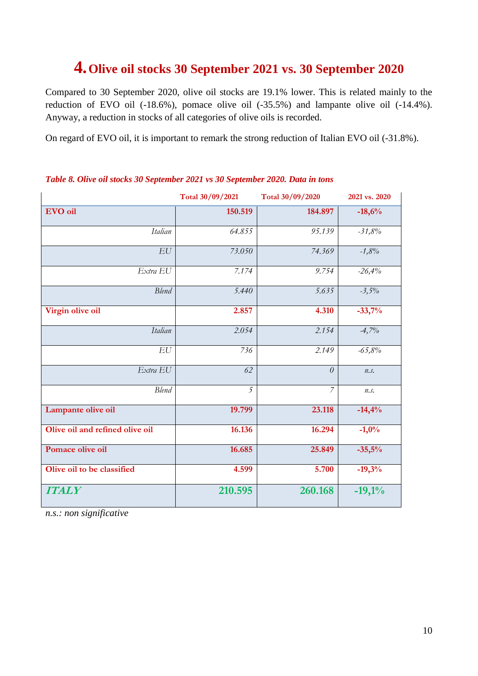## **4.Olive oil stocks 30 September 2021 vs. 30 September 2020**

Compared to 30 September 2020, olive oil stocks are 19.1% lower. This is related mainly to the reduction of EVO oil (-18.6%), pomace olive oil (-35.5%) and lampante olive oil (-14.4%). Anyway, a reduction in stocks of all categories of olive oils is recorded.

On regard of EVO oil, it is important to remark the strong reduction of Italian EVO oil (-31.8%).

|                                 | Total 30/09/2021 | Total 30/09/2020 | 2021 vs. 2020 |
|---------------------------------|------------------|------------------|---------------|
| EVO oil                         | 150.519          | 184.897          | $-18,6%$      |
| Italian                         | 64.855           | 95.139           | $-31,8%$      |
| EU                              | 73.050           | 74.369           | $-1,8%$       |
| Extra EU                        | 7.174            | 9.754            | $-26,4%$      |
| <b>Blend</b>                    | 5.440            | 5.635            | $-3,5%$       |
| Virgin olive oil                | 2.857            | 4.310            | $-33,7%$      |
| Italian                         | 2.054            | 2.154            | $-4,7%$       |
| EU                              | 736              | 2.149            | $-65,8%$      |
| Extra EU                        | 62               | $\theta$         | n.s.          |
| <b>Blend</b>                    | $\overline{5}$   | $\overline{7}$   | n.s.          |
| Lampante olive oil              | 19.799           | 23.118           | $-14,4%$      |
| Olive oil and refined olive oil | 16.136           | 16.294           | $-1,0%$       |
| Pomace olive oil                | 16.685           | 25.849           | $-35,5%$      |
| Olive oil to be classified      | 4.599            | 5.700            | $-19,3%$      |
| <b>ITALY</b>                    | 210.595          | 260.168          | $-19,1%$      |

#### *Table 8. Olive oil stocks 30 September 2021 vs 30 September 2020. Data in tons*

*n.s.: non significative*